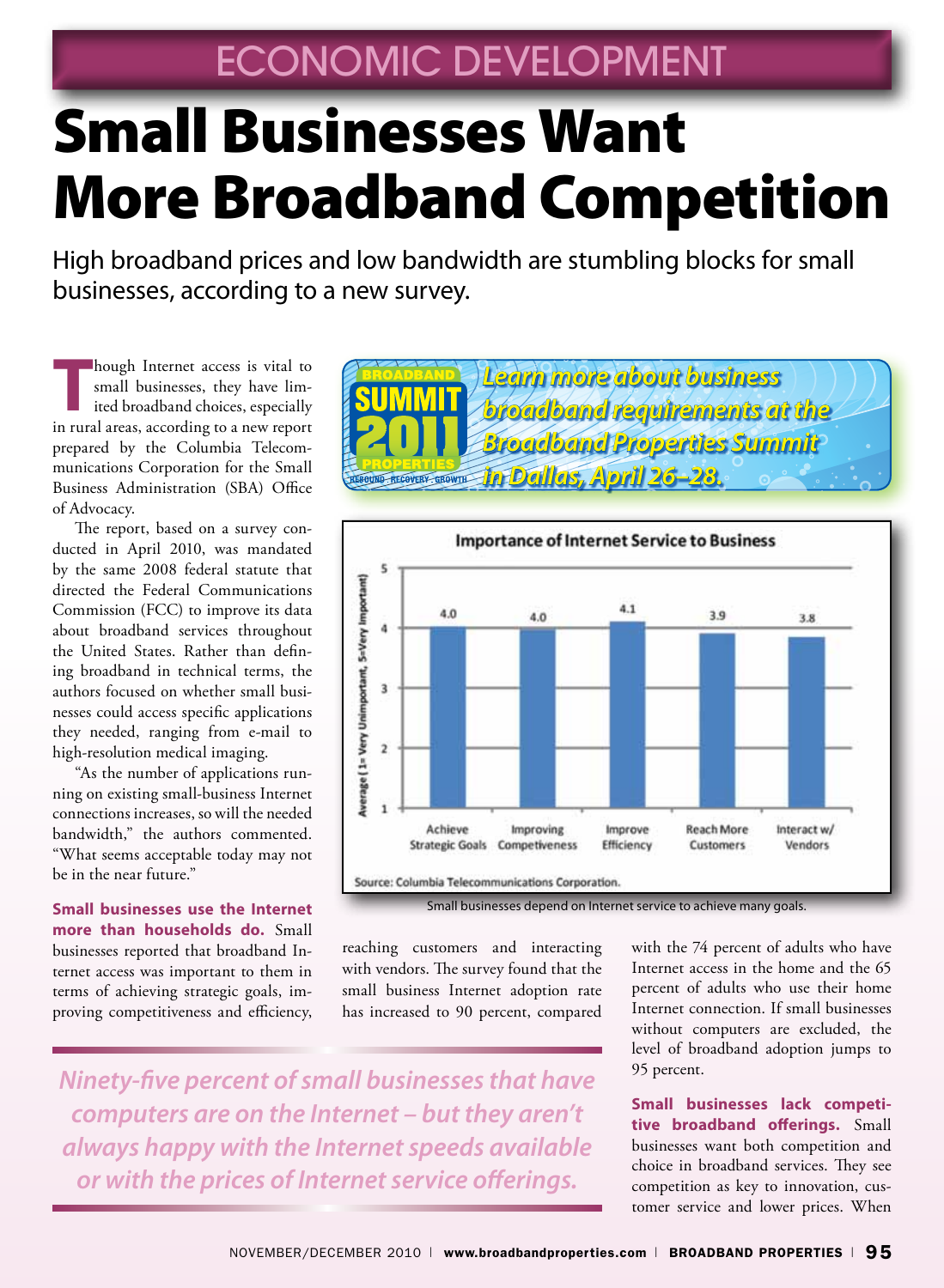# Small Businesses Want More Broadband Competition

High broadband prices and low bandwidth are stumbling blocks for small businesses, according to a new survey.

**Though Internet access is vital to** small businesses, they have limited broadband choices, especially in rural areas, according to a new report prepared by the Columbia Telecommunications Corporation for the Small Business Administration (SBA) Office of Advocacy.

The report, based on a survey conducted in April 2010, was mandated by the same 2008 federal statute that directed the Federal Communications Commission (FCC) to improve its data about broadband services throughout the United States. Rather than defining broadband in technical terms, the authors focused on whether small businesses could access specific applications they needed, ranging from e-mail to high-resolution medical imaging.

"As the number of applications running on existing small-business Internet connections increases, so will the needed bandwidth," the authors commented. "What seems acceptable today may not be in the near future."

**Small businesses use the Internet more than households do.** Small businesses reported that broadband Internet access was important to them in terms of achieving strategic goals, improving competitiveness and efficiency,





Small businesses depend on Internet service to achieve many goals.

reaching customers and interacting with vendors. The survey found that the small business Internet adoption rate has increased to 90 percent, compared

with the 74 percent of adults who have Internet access in the home and the 65 percent of adults who use their home Internet connection. If small businesses without computers are excluded, the level of broadband adoption jumps to 95 percent.

**Small businesses lack competitive broadband offerings.** Small businesses want both competition and choice in broadband services. They see competition as key to innovation, customer service and lower prices. When

*Ninety-five percent of small businesses that have computers are on the Internet – but they aren't always happy with the Internet speeds available or with the prices of Internet service offerings.*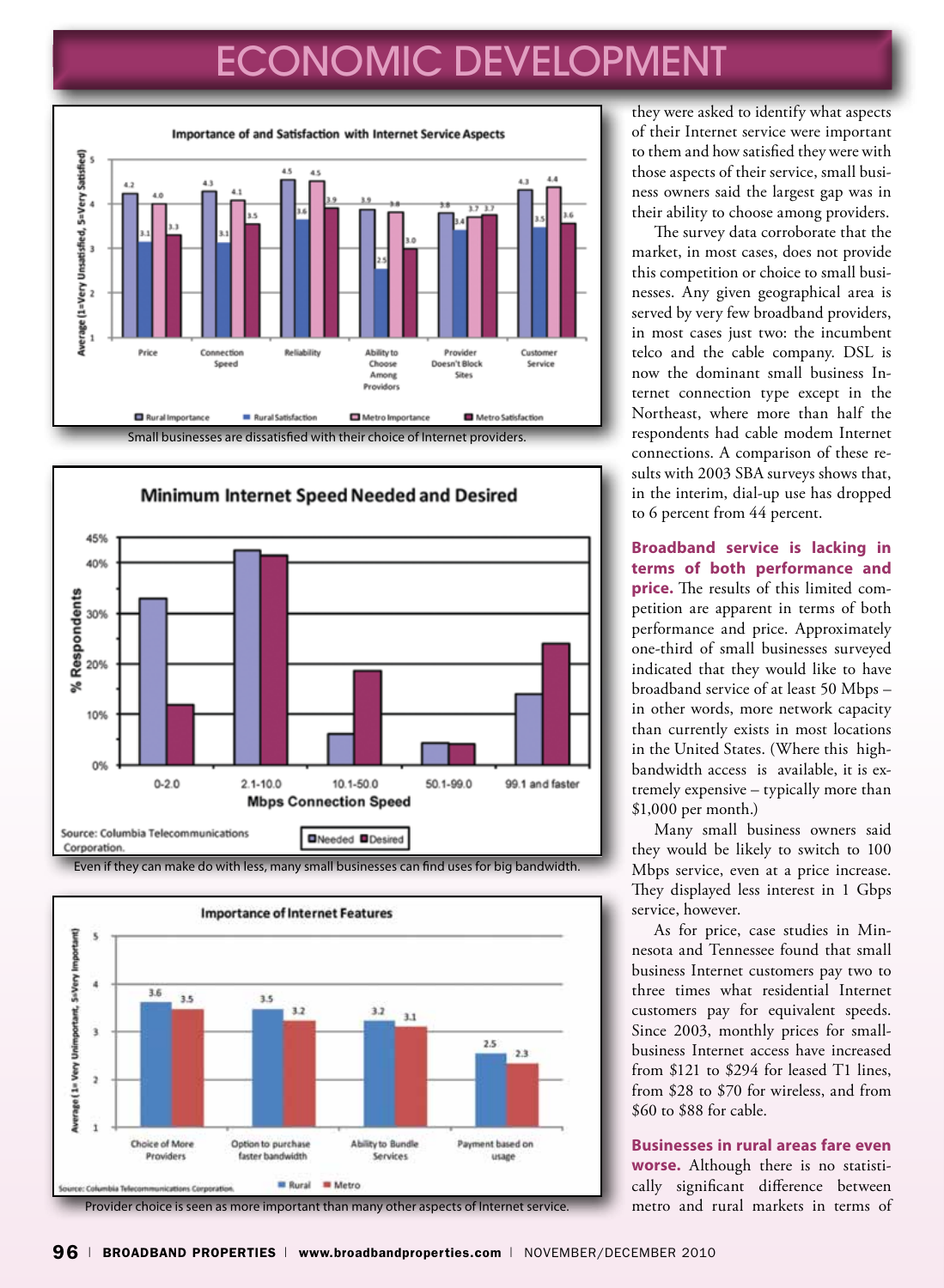### ECONOMIC DEVELOPMENT







they were asked to identify what aspects of their Internet service were important to them and how satisfied they were with those aspects of their service, small business owners said the largest gap was in their ability to choose among providers.

The survey data corroborate that the market, in most cases, does not provide this competition or choice to small businesses. Any given geographical area is served by very few broadband providers, in most cases just two: the incumbent telco and the cable company. DSL is now the dominant small business Internet connection type except in the Northeast, where more than half the respondents had cable modem Internet connections. A comparison of these results with 2003 SBA surveys shows that, in the interim, dial-up use has dropped to 6 percent from 44 percent.

**Broadband service is lacking in terms of both performance and price.** The results of this limited competition are apparent in terms of both performance and price. Approximately one-third of small businesses surveyed indicated that they would like to have broadband service of at least 50 Mbps – in other words, more network capacity than currently exists in most locations in the United States. (Where this highbandwidth access is available, it is extremely expensive – typically more than \$1,000 per month.)

Many small business owners said they would be likely to switch to 100 Mbps service, even at a price increase. They displayed less interest in 1 Gbps service, however.

As for price, case studies in Minnesota and Tennessee found that small business Internet customers pay two to three times what residential Internet customers pay for equivalent speeds. Since 2003, monthly prices for smallbusiness Internet access have increased from \$121 to \$294 for leased T1 lines, from \$28 to \$70 for wireless, and from \$60 to \$88 for cable.

**Businesses in rural areas fare even worse.** Although there is no statistically significant difference between metro and rural markets in terms of